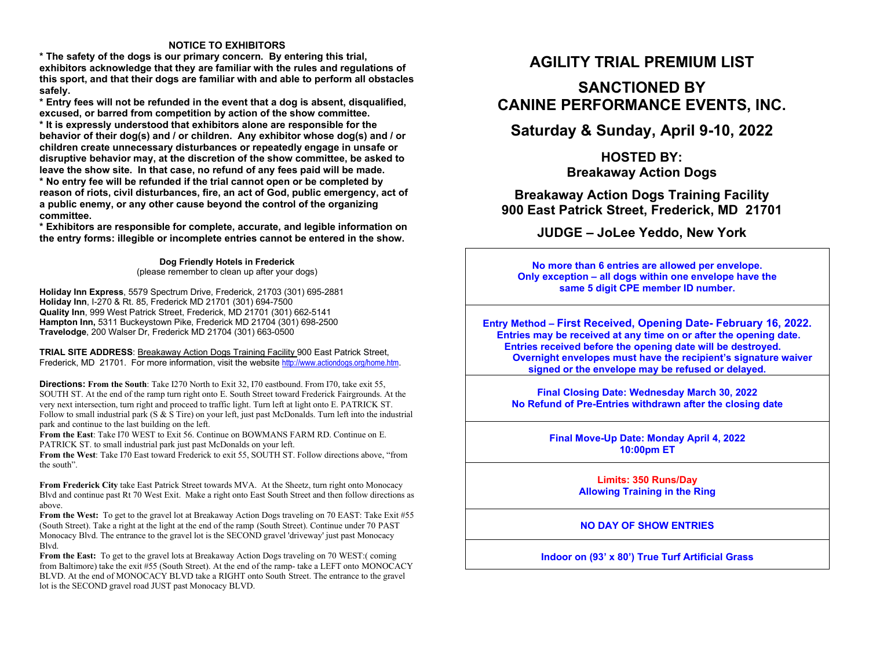### **NOTICE TO EXHIBITORS**

 **\* The safety of the dogs is our primary concern. By entering this trial, exhibitors acknowledge that they are familiar with the rules and regulations of this sport, and that their dogs are familiar with and able to perform all obstacles safely.** 

 **\* Entry fees will not be refunded in the event that a dog is absent, disqualified, excused, or barred from competition by action of the show committee.** 

 **\* It is expressly understood that exhibitors alone are responsible for the behavior of their dog(s) and / or children. Any exhibitor whose dog(s) and / or children create unnecessary disturbances or repeatedly engage in unsafe or disruptive behavior may, at the discretion of the show committee, be asked to leave the show site. In that case, no refund of any fees paid will be made. \* No entry fee will be refunded if the trial cannot open or be completed by reason of riots, civil disturbances, fire, an act of God, public emergency, act of a public enemy, or any other cause beyond the control of the organizing committee.** 

 **\* Exhibitors are responsible for complete, accurate, and legible information on the entry forms: illegible or incomplete entries cannot be entered in the show.** 

> **Dog Friendly Hotels in Frederick** (please remember to clean up after your dogs)

**Holiday Inn Express**, 5579 Spectrum Drive, Frederick, 21703 (301) 695-2881 **Holiday Inn**, I-270 & Rt. 85, Frederick MD 21701 (301) 694-7500 **Quality Inn**, 999 West Patrick Street, Frederick, MD 21701 (301) 662-5141 **Hampton Inn,** 5311 Buckeystown Pike, Frederick MD 21704 (301) 698-2500 **Travelodge**, 200 Walser Dr, Frederick MD 21704 (301) 663-0500

**TRIAL SITE ADDRESS**: Breakaway Action Dogs Training Facility 900 East Patrick Street, Frederick, MD 21701. For more information, visit the website http://www.actiondogs.org/home.htm.

**Directions: From the South**: Take I270 North to Exit 32, I70 eastbound. From I70, take exit 55, SOUTH ST. At the end of the ramp turn right onto E. South Street toward Frederick Fairgrounds. At the very next intersection, turn right and proceed to traffic light. Turn left at light onto E. PATRICK ST. Follow to small industrial park (S & S Tire) on your left, just past McDonalds. Turn left into the industrial park and continue to the last building on the left.

 **From the East**: Take I70 WEST to Exit 56. Continue on BOWMANS FARM RD. Continue on E. PATRICK ST. to small industrial park just past McDonalds on your left.

 **From the West**: Take I70 East toward Frederick to exit 55, SOUTH ST. Follow directions above, "from the south".

**From Frederick City** take East Patrick Street towards MVA. At the Sheetz, turn right onto Monocacy Blvd and continue past Rt 70 West Exit. Make a right onto East South Street and then follow directions as above.

 **From the West:** To get to the gravel lot at Breakaway Action Dogs traveling on 70 EAST: Take Exit #55 (South Street). Take a right at the light at the end of the ramp (South Street). Continue under 70 PAST Monocacy Blvd. The entrance to the gravel lot is the SECOND gravel 'driveway' just past Monocacy Blvd.

 **From the East:** To get to the gravel lots at Breakaway Action Dogs traveling on 70 WEST:( coming from Baltimore) take the exit #55 (South Street). At the end of the ramp- take a LEFT onto MONOCACY BLVD. At the end of MONOCACY BLVD take a RIGHT onto South Street. The entrance to the gravel lot is the SECOND gravel road JUST past Monocacy BLVD.

## **AGILITY TRIAL PREMIUM LIST**

# **SANCTIONED BY CANINE PERFORMANCE EVENTS, INC.**

**Saturday & Sunday, April 9-10, 2022** 

**HOSTED BY: Breakaway Action Dogs** 

**Breakaway Action Dogs Training Facility 900 East Patrick Street, Frederick, MD 21701** 

**JUDGE – JoLee Yeddo, New York**

**No more than 6 entries are allowed per envelope. Only exception – all dogs within one envelope have the same 5 digit CPE member ID number.** 

**Entry Method – First Received, Opening Date- February 16, 2022. Entries may be received at any time on or after the opening date. Entries received before the opening date will be destroyed. Overnight envelopes must have the recipient's signature waiver signed or the envelope may be refused or delayed.** 

**Final Closing Date: Wednesday March 30, 2022 No Refund of Pre-Entries withdrawn after the closing date** 

> **Final Move-Up Date: Monday April 4, 2022 10:00pm ET**

> > **Limits: 350 Runs/Day Allowing Training in the Ring**

**NO DAY OF SHOW ENTRIES** 

**Indoor on (93' x 80') True Turf Artificial Grass**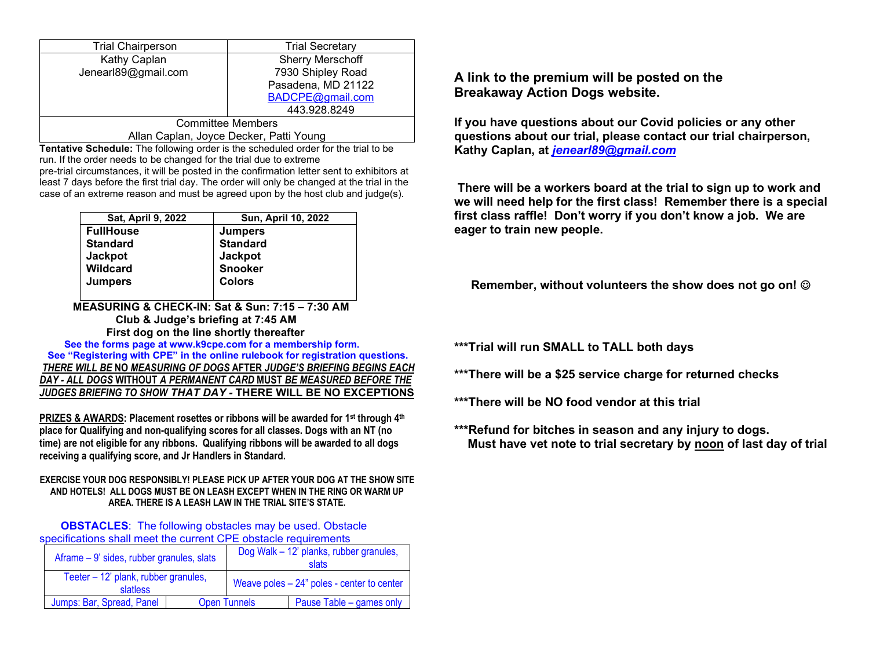| <b>Trial Chairperson</b> | <b>Trial Secretary</b>  |  |
|--------------------------|-------------------------|--|
| Kathy Caplan             | <b>Sherry Merschoff</b> |  |
| Jenearl89@gmail.com      | 7930 Shipley Road       |  |
|                          | Pasadena, MD 21122      |  |
|                          | BADCPE@gmail.com        |  |
|                          | 443.928.8249            |  |
| <b>Committee Members</b> |                         |  |

Allan Caplan, Joyce Decker, Patti Young

 **Tentative Schedule:** The following order is the scheduled order for the trial to be run. If the order needs to be changed for the trial due to extreme pre-trial circumstances, it will be posted in the confirmation letter sent to exhibitors at least 7 days before the first trial day. The order will only be changed at the trial in the case of an extreme reason and must be agreed upon by the host club and judge(s).

| Sat, April 9, 2022 | Sun, April 10, 2022 |
|--------------------|---------------------|
| <b>FullHouse</b>   | <b>Jumpers</b>      |
| <b>Standard</b>    | <b>Standard</b>     |
| <b>Jackpot</b>     | <b>Jackpot</b>      |
| <b>Wildcard</b>    | <b>Snooker</b>      |
| <b>Jumpers</b>     | <b>Colors</b>       |
|                    |                     |

 **MEASURING & CHECK-IN: Sat & Sun: 7:15 – 7:30 AM Club & Judge's briefing at 7:45 AM First dog on the line shortly thereafter** 

  **See the forms page at www.k9cpe.com for a membership form. See "Registering with CPE" in the online rulebook for registration questions.** *THERE WILL BE* **NO** *MEASURING OF DOGS* **AFTER** *JUDGE'S BRIEFING BEGINS EACH DAY - ALL DOGS* **WITHOUT** *A PERMANENT CARD* **MUST** *BE MEASURED BEFORE THE JUDGES BRIEFING TO SHOW THAT DAY -* **THERE WILL BE NO EXCEPTIONS**

**PRIZES & AWARDS: Placement rosettes or ribbons will be awarded for 1st through 4th place for Qualifying and non-qualifying scores for all classes. Dogs with an NT (no time) are not eligible for any ribbons. Qualifying ribbons will be awarded to all dogs receiving a qualifying score, and Jr Handlers in Standard.** 

### **EXERCISE YOUR DOG RESPONSIBLY! PLEASE PICK UP AFTER YOUR DOG AT THE SHOW SITE AND HOTELS! ALL DOGS MUST BE ON LEASH EXCEPT WHEN IN THE RING OR WARM UP AREA. THERE IS A LEASH LAW IN THE TRIAL SITE'S STATE.**

**OBSTACLES:** The following obstacles may be used. Obstacle specifications shall meet the current CPE obstacle requirements

| Aframe – 9' sides, rubber granules, slats               |                     | Dog Walk - 12' planks, rubber granules,<br>slats |                          |
|---------------------------------------------------------|---------------------|--------------------------------------------------|--------------------------|
| Teeter - 12' plank, rubber granules,<br><b>slatless</b> |                     | Weave poles $-24$ " poles - center to center     |                          |
| Jumps: Bar, Spread, Panel                               | <b>Open Tunnels</b> |                                                  | Pause Table - games only |

**A link to the premium will be posted on the Breakaway Action Dogs website.** 

**If you have questions about our Covid policies or any other questions about our trial, please contact our trial chairperson, Kathy Caplan, at** *jenearl89@gmail.com*

 **There will be a workers board at the trial to sign up to work and we will need help for the first class! Remember there is a special first class raffle! Don't worry if you don't know a job. We are eager to train new people.** 

 **Remember, without volunteers the show does not go on!** 

**\*\*\*Trial will run SMALL to TALL both days** 

**\*\*\*There will be a \$25 service charge for returned checks** 

**\*\*\*There will be NO food vendor at this trial** 

**\*\*\*Refund for bitches in season and any injury to dogs. Must have vet note to trial secretary by noon of last day of trial**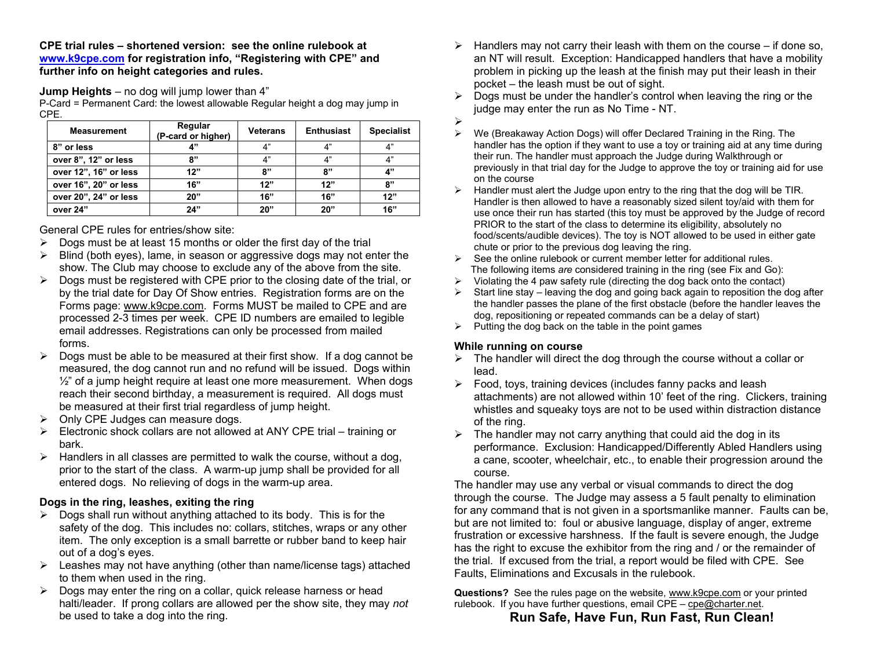**CPE trial rules – shortened version: see the online rulebook at www.k9cpe.com for registration info, "Registering with CPE" and further info on height categories and rules.**

**Jump Heights** – no dog will jump lower than 4"

 P-Card = Permanent Card: the lowest allowable Regular height a dog may jump in CPE.

| <b>Measurement</b>    | Regular<br>(P-card or higher) | <b>Veterans</b> | <b>Enthusiast</b> | <b>Specialist</b> |
|-----------------------|-------------------------------|-----------------|-------------------|-------------------|
| 8" or less            | 4"                            | 4"              | 4"                | 4"                |
| over 8", 12" or less  | "י                            | 4"              | 4"                | 4"                |
| over 12", 16" or less | 12"                           | 8"              | 8"                | 4"                |
| over 16", 20" or less | 16"                           | 12"             | 12"               | 8"                |
| over 20", 24" or less | 20"                           | 16"             | 16"               | 12"               |
| over 24"              | 24"                           | 20"             | 20"               | 16"               |

General CPE rules for entries/show site:

- $\triangleright$  Dogs must be at least 15 months or older the first day of the trial
- $\triangleright$  Blind (both eyes), lame, in season or aggressive dogs may not enter the show. The Club may choose to exclude any of the above from the site.
- $\triangleright$  Dogs must be registered with CPE prior to the closing date of the trial, or by the trial date for Day Of Show entries. Registration forms are on the Forms page: www.k9cpe.com. Forms MUST be mailed to CPE and are processed 2-3 times per week. CPE ID numbers are emailed to legible email addresses. Registrations can only be processed from mailed forms.
- $\triangleright$  Dogs must be able to be measured at their first show. If a dog cannot be measured, the dog cannot run and no refund will be issued. Dogs within  $\frac{1}{2}$ " of a jump height require at least one more measurement. When dogs reach their second birthday, a measurement is required. All dogs must be measured at their first trial regardless of jump height.
- $\triangleright$  Only CPE Judges can measure dogs.
- $\triangleright$  Electronic shock collars are not allowed at ANY CPE trial training or bark.
- $\triangleright$  Handlers in all classes are permitted to walk the course, without a dog, prior to the start of the class. A warm-up jump shall be provided for all entered dogs. No relieving of dogs in the warm-up area.

## **Dogs in the ring, leashes, exiting the ring**

- $\triangleright$  Dogs shall run without anything attached to its body. This is for the safety of the dog. This includes no: collars, stitches, wraps or any other item. The only exception is a small barrette or rubber band to keep hair out of a dog's eyes.
- Leashes may not have anything (other than name/license tags) attached to them when used in the ring.
- $\triangleright$  Dogs may enter the ring on a collar, quick release harness or head halti/leader. If prong collars are allowed per the show site, they may *not*be used to take a dog into the ring.
- $\triangleright$  Handlers may not carry their leash with them on the course if done so, an NT will result. Exception: Handicapped handlers that have a mobility problem in picking up the leash at the finish may put their leash in their pocket – the leash must be out of sight.
- $\triangleright$  Dogs must be under the handler's control when leaving the ring or the judge may enter the run as No Time - NT.
- $\blacktriangleright$
- We (Breakaway Action Dogs) will offer Declared Training in the Ring. The handler has the option if they want to use a toy or training aid at any time during their run. The handler must approach the Judge during Walkthrough or previously in that trial day for the Judge to approve the toy or training aid for use on the course
- $\triangleright$  Handler must alert the Judge upon entry to the ring that the dog will be TIR. Handler is then allowed to have a reasonably sized silent toy/aid with them for use once their run has started (this toy must be approved by the Judge of record PRIOR to the start of the class to determine its eligibility, absolutely no food/scents/audible devices). The toy is NOT allowed to be used in either gate chute or prior to the previous dog leaving the ring.
- $\triangleright$  See the online rulebook or current member letter for additional rules. The following items *are* considered training in the ring (see Fix and Go):
- $\triangleright$  Violating the 4 paw safety rule (directing the dog back onto the contact)
- $\triangleright$  Start line stay leaving the dog and going back again to reposition the dog after the handler passes the plane of the first obstacle (before the handler leaves the dog, repositioning or repeated commands can be a delay of start)
- $\triangleright$  Putting the dog back on the table in the point games

## **While running on course**

- $\triangleright$  The handler will direct the dog through the course without a collar or lead.
- Food, toys, training devices (includes fanny packs and leash attachments) are not allowed within 10' feet of the ring. Clickers, training whistles and squeaky toys are not to be used within distraction distance of the ring.
- $\triangleright$  The handler may not carry anything that could aid the dog in its performance. Exclusion: Handicapped/Differently Abled Handlers using a cane, scooter, wheelchair, etc., to enable their progression around the course.

 The handler may use any verbal or visual commands to direct the dog through the course. The Judge may assess a 5 fault penalty to elimination for any command that is not given in a sportsmanlike manner. Faults can be, but are not limited to: foul or abusive language, display of anger, extreme frustration or excessive harshness. If the fault is severe enough, the Judge has the right to excuse the exhibitor from the ring and / or the remainder of the trial. If excused from the trial, a report would be filed with CPE. See Faults, Eliminations and Excusals in the rulebook.

**Questions?** See the rules page on the website, www.k9cpe.com or your printed rulebook. If you have further questions, email CPE – cpe@charter.net.

## **Run Safe, Have Fun, Run Fast, Run Clean!**